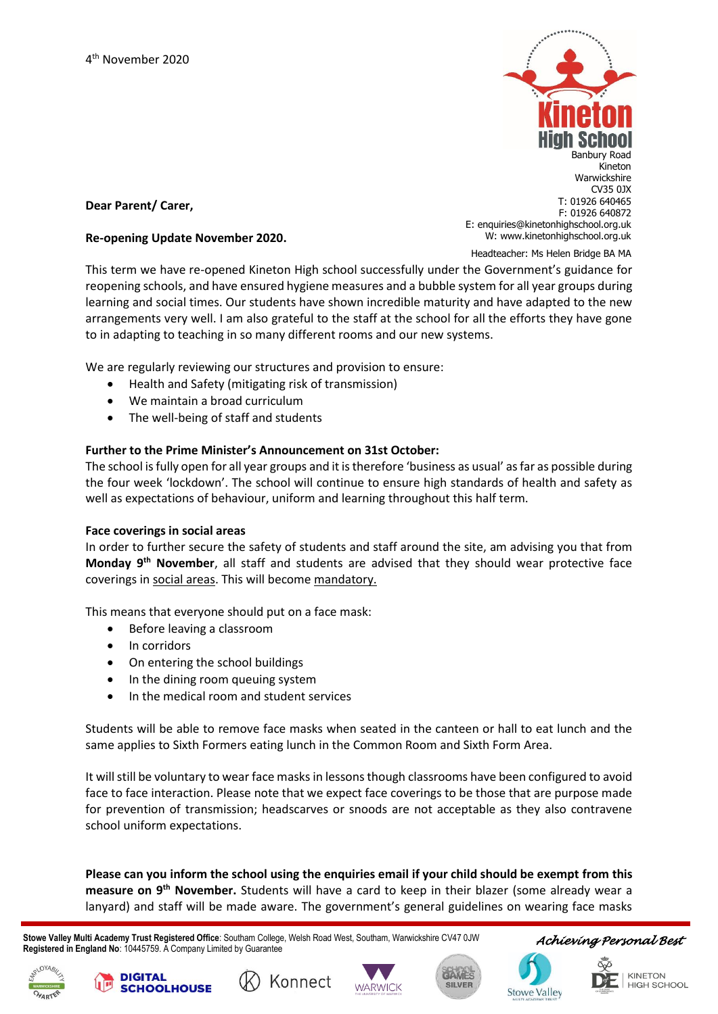

# **Dear Parent/ Carer,**

#### **Re-opening Update November 2020.**

Headteacher: Ms Helen Bridge BA MA

This term we have re-opened Kineton High school successfully under the Government's guidance for reopening schools, and have ensured hygiene measures and a bubble system for all year groups during learning and social times. Our students have shown incredible maturity and have adapted to the new arrangements very well. I am also grateful to the staff at the school for all the efforts they have gone to in adapting to teaching in so many different rooms and our new systems.

We are regularly reviewing our structures and provision to ensure:

- Health and Safety (mitigating risk of transmission)
- We maintain a broad curriculum
- The well-being of staff and students

# **Further to the Prime Minister's Announcement on 31st October:**

The school is fully open for all year groups and it is therefore 'business as usual' as far as possible during the four week 'lockdown'. The school will continue to ensure high standards of health and safety as well as expectations of behaviour, uniform and learning throughout this half term.

#### **Face coverings in social areas**

In order to further secure the safety of students and staff around the site, am advising you that from **Monday 9th November**, all staff and students are advised that they should wear protective face coverings in social areas. This will become mandatory.

This means that everyone should put on a face mask:

- Before leaving a classroom
- In corridors

**DIGITAL** 

**SCHOOLHOUSE** 

- On entering the school buildings
- In the dining room queuing system
- In the medical room and student services

Students will be able to remove face masks when seated in the canteen or hall to eat lunch and the same applies to Sixth Formers eating lunch in the Common Room and Sixth Form Area.

It will still be voluntary to wear face masks in lessons though classrooms have been configured to avoid face to face interaction. Please note that we expect face coverings to be those that are purpose made for prevention of transmission; headscarves or snoods are not acceptable as they also contravene school uniform expectations.

**Please can you inform the school using the enquiries email if your child should be exempt from this measure on 9 th November.** Students will have a card to keep in their blazer (some already wear a lanyard) and staff will be made aware. The government's general guidelines on wearing face masks

 **Stowe Valley Multi Academy Trust Registered Office**: Southam College, Welsh Road West, Southam, Warwickshire CV47 0JW **Registered in England No**: 10445759. A Company Limited by Guarantee

Konnect







*Achieving Personal Best* 

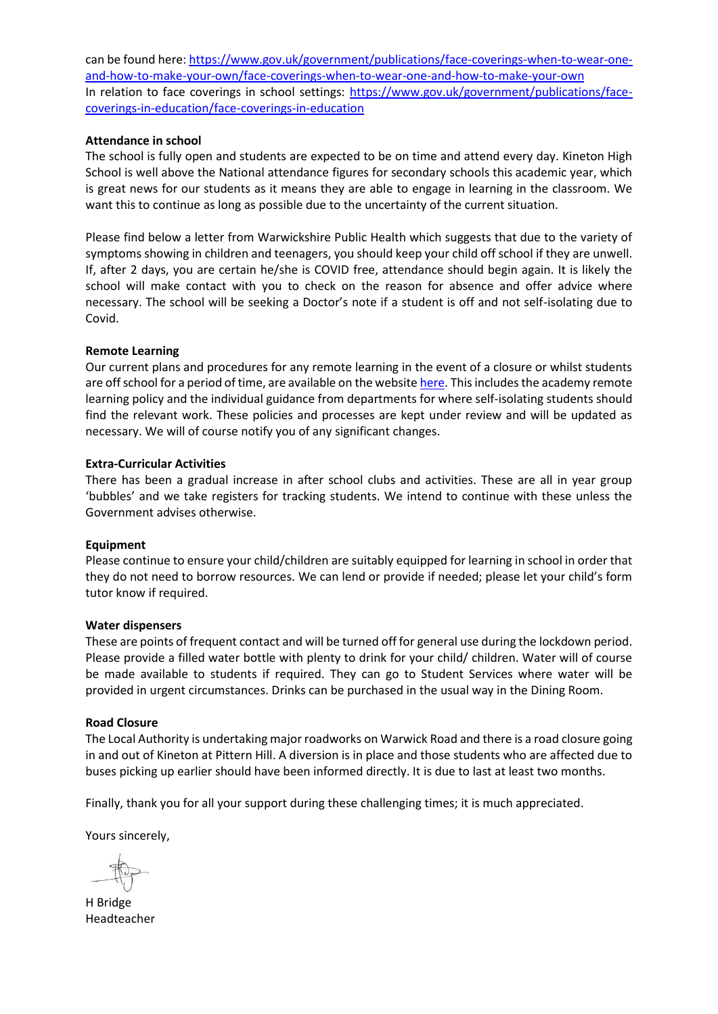can be found here[: https://www.gov.uk/government/publications/face-coverings-when-to-wear-one](https://www.gov.uk/government/publications/face-coverings-when-to-wear-one-and-how-to-make-your-own/face-coverings-when-to-wear-one-and-how-to-make-your-own)[and-how-to-make-your-own/face-coverings-when-to-wear-one-and-how-to-make-your-own](https://www.gov.uk/government/publications/face-coverings-when-to-wear-one-and-how-to-make-your-own/face-coverings-when-to-wear-one-and-how-to-make-your-own) In relation to face coverings in school settings: [https://www.gov.uk/government/publications/face](https://www.gov.uk/government/publications/face-coverings-in-education/face-coverings-in-education)[coverings-in-education/face-coverings-in-education](https://www.gov.uk/government/publications/face-coverings-in-education/face-coverings-in-education)

# **Attendance in school**

The school is fully open and students are expected to be on time and attend every day. Kineton High School is well above the National attendance figures for secondary schools this academic year, which is great news for our students as it means they are able to engage in learning in the classroom. We want this to continue as long as possible due to the uncertainty of the current situation.

Please find below a letter from Warwickshire Public Health which suggests that due to the variety of symptoms showing in children and teenagers, you should keep your child off school if they are unwell. If, after 2 days, you are certain he/she is COVID free, attendance should begin again. It is likely the school will make contact with you to check on the reason for absence and offer advice where necessary. The school will be seeking a Doctor's note if a student is off and not self-isolating due to Covid.

# **Remote Learning**

Our current plans and procedures for any remote learning in the event of a closure or whilst students are off school for a period of time, are available on the websit[e here.](https://resources.finalsite.net/images/v1604412804/southamcollegecom/tdyfiauh1ha2qdlqgywa/KHSRemoteLearningPolicy.pdf) This includes the academy remote learning policy and the individual guidance from departments for where self-isolating students should find the relevant work. These policies and processes are kept under review and will be updated as necessary. We will of course notify you of any significant changes.

# **Extra-Curricular Activities**

There has been a gradual increase in after school clubs and activities. These are all in year group 'bubbles' and we take registers for tracking students. We intend to continue with these unless the Government advises otherwise.

# **Equipment**

Please continue to ensure your child/children are suitably equipped for learning in school in order that they do not need to borrow resources. We can lend or provide if needed; please let your child's form tutor know if required.

# **Water dispensers**

These are points of frequent contact and will be turned off for general use during the lockdown period. Please provide a filled water bottle with plenty to drink for your child/ children. Water will of course be made available to students if required. They can go to Student Services where water will be provided in urgent circumstances. Drinks can be purchased in the usual way in the Dining Room.

# **Road Closure**

The Local Authority is undertaking major roadworks on Warwick Road and there is a road closure going in and out of Kineton at Pittern Hill. A diversion is in place and those students who are affected due to buses picking up earlier should have been informed directly. It is due to last at least two months.

Finally, thank you for all your support during these challenging times; it is much appreciated.

Yours sincerely,

H Bridge Headteacher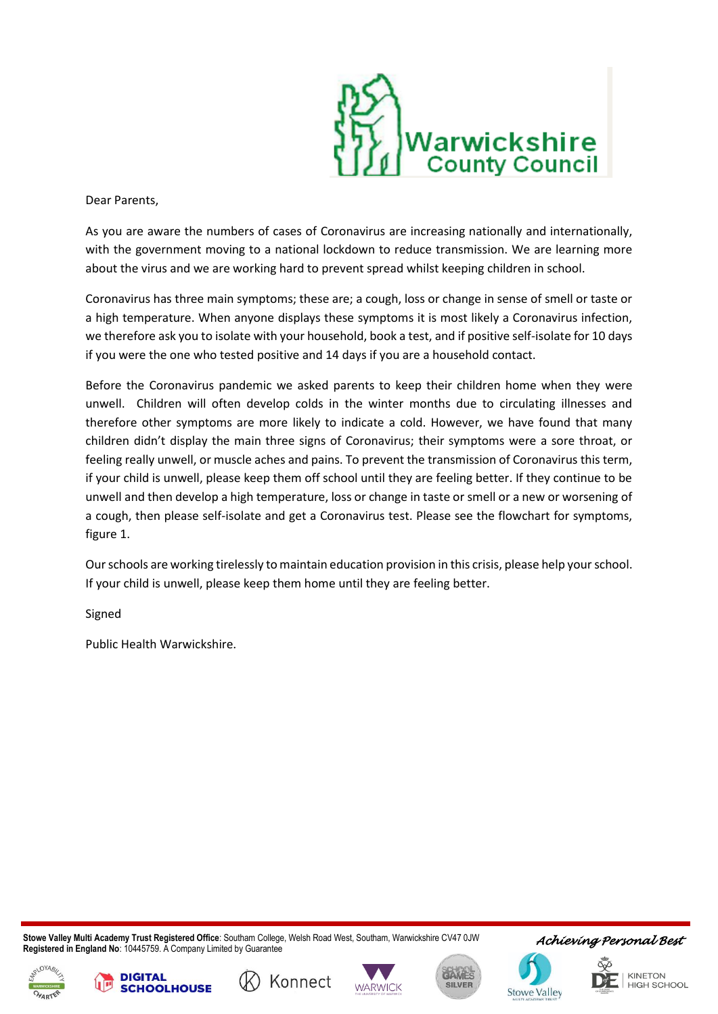

Dear Parents,

As you are aware the numbers of cases of Coronavirus are increasing nationally and internationally, with the government moving to a national lockdown to reduce transmission. We are learning more about the virus and we are working hard to prevent spread whilst keeping children in school.

Coronavirus has three main symptoms; these are; a cough, loss or change in sense of smell or taste or a high temperature. When anyone displays these symptoms it is most likely a Coronavirus infection, we therefore ask you to isolate with your household, book a test, and if positive self-isolate for 10 days if you were the one who tested positive and 14 days if you are a household contact.

Before the Coronavirus pandemic we asked parents to keep their children home when they were unwell. Children will often develop colds in the winter months due to circulating illnesses and therefore other symptoms are more likely to indicate a cold. However, we have found that many children didn't display the main three signs of Coronavirus; their symptoms were a sore throat, or feeling really unwell, or muscle aches and pains. To prevent the transmission of Coronavirus this term, if your child is unwell, please keep them off school until they are feeling better. If they continue to be unwell and then develop a high temperature, loss or change in taste or smell or a new or worsening of a cough, then please self-isolate and get a Coronavirus test. Please see the flowchart for symptoms, figure 1.

Our schools are working tirelessly to maintain education provision in this crisis, please help your school. If your child is unwell, please keep them home until they are feeling better.

Signed

Public Health Warwickshire.

**DIGITAL** 

**CHOOLHOUSE** 

 **Stowe Valley Multi Academy Trust Registered Office**: Southam College, Welsh Road West, Southam, Warwickshire CV47 0JW **Registered in England No**: 10445759. A Company Limited by Guarantee

Konnect